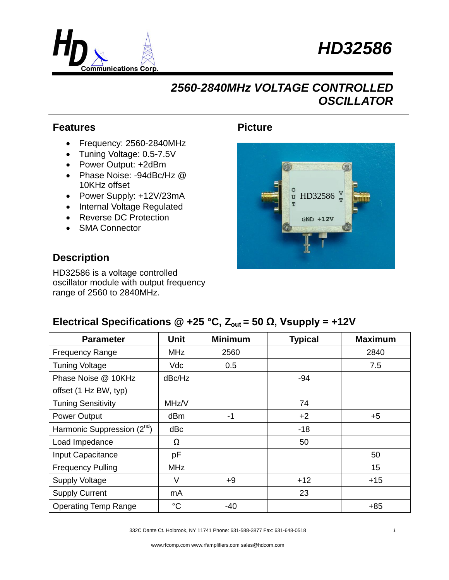



## *2560-2840MHz VOLTAGE CONTROLLED OSCILLATOR*

#### **Features**

- Frequency: 2560-2840MHz
- Tuning Voltage: 0.5-7.5V
- Power Output: +2dBm
- Phase Noise: -94dBc/Hz @ 10KHz offset
- Power Supply: +12V/23mA
- Internal Voltage Regulated
- Reverse DC Protection
- SMA Connector

#### **Description**

HD32586 is a voltage controlled oscillator module with output frequency range of 2560 to 2840MHz.

### **Picture**



### **Electrical Specifications @ +25 °C,**  $Z_{\text{out}}$  **= 50 Ω, Vsupply = +12V**

| <b>Parameter</b>                        | <b>Unit</b>     | <b>Minimum</b> | <b>Typical</b> | <b>Maximum</b> |
|-----------------------------------------|-----------------|----------------|----------------|----------------|
| <b>Frequency Range</b>                  | MHz             | 2560           |                | 2840           |
| <b>Tuning Voltage</b>                   | Vdc             | 0.5            |                | 7.5            |
| Phase Noise @ 10KHz                     | dBc/Hz          |                | $-94$          |                |
| offset (1 Hz BW, typ)                   |                 |                |                |                |
| <b>Tuning Sensitivity</b>               | MHz/V           |                | 74             |                |
| Power Output                            | dBm             | $-1$           | $+2$           | $+5$           |
| Harmonic Suppression (2 <sup>nd</sup> ) | dBc             |                | $-18$          |                |
| Load Impedance                          | Ω               |                | 50             |                |
| Input Capacitance                       | pF              |                |                | 50             |
| <b>Frequency Pulling</b>                | <b>MHz</b>      |                |                | 15             |
| <b>Supply Voltage</b>                   | $\vee$          | $+9$           | $+12$          | $+15$          |
| <b>Supply Current</b>                   | mA              |                | 23             |                |
| <b>Operating Temp Range</b>             | $\rm ^{\circ}C$ | -40            |                | $+85$          |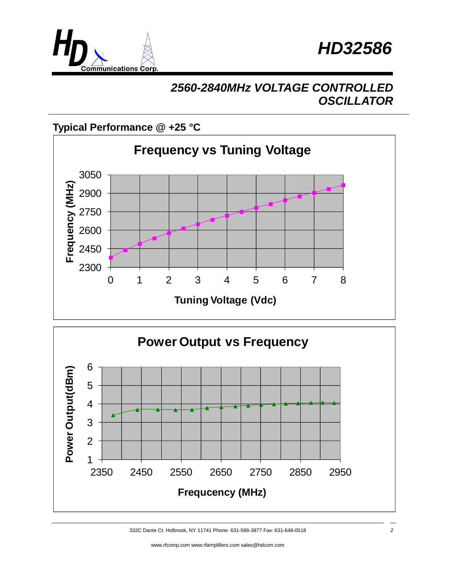



## *2560-2840MHz VOLTAGE CONTROLLED OSCILLATOR*

### **Typical Performance @ +25 °C**





332C Dante Ct. Holbrook, NY 11741 Phone: 631-588-3877 Fax: 631-648-0518